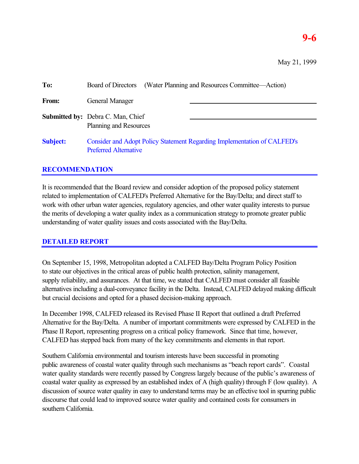# **9-6**

| To:             | (Water Planning and Resources Committee—Action)<br>Board of Directors                                    |
|-----------------|----------------------------------------------------------------------------------------------------------|
| From:           | General Manager                                                                                          |
|                 | <b>Submitted by:</b> Debra C. Man, Chief<br>Planning and Resources                                       |
| <b>Subject:</b> | Consider and Adopt Policy Statement Regarding Implementation of CALFED's<br><b>Preferred Alternative</b> |

## **RECOMMENDATION**

It is recommended that the Board review and consider adoption of the proposed policy statement related to implementation of CALFED's Preferred Alternative for the Bay/Delta; and direct staff to work with other urban water agencies, regulatory agencies, and other water quality interests to pursue the merits of developing a water quality index as a communication strategy to promote greater public understanding of water quality issues and costs associated with the Bay/Delta.

## **DETAILED REPORT**

On September 15, 1998, Metropolitan adopted a CALFED Bay/Delta Program Policy Position to state our objectives in the critical areas of public health protection, salinity management, supply reliability, and assurances. At that time, we stated that CALFED must consider all feasible alternatives including a dual-conveyance facility in the Delta. Instead, CALFED delayed making difficult but crucial decisions and opted for a phased decision-making approach.

In December 1998, CALFED released its Revised Phase II Report that outlined a draft Preferred Alternative for the Bay/Delta. A number of important commitments were expressed by CALFED in the Phase II Report, representing progress on a critical policy framework. Since that time, however, CALFED has stepped back from many of the key commitments and elements in that report.

Southern California environmental and tourism interests have been successful in promoting public awareness of coastal water quality through such mechanisms as "beach report cards". Coastal water quality standards were recently passed by Congress largely because of the public's awareness of coastal water quality as expressed by an established index of A (high quality) through F (low quality). A discussion of source water quality in easy to understand terms may be an effective tool in spurring public discourse that could lead to improved source water quality and contained costs for consumers in southern California.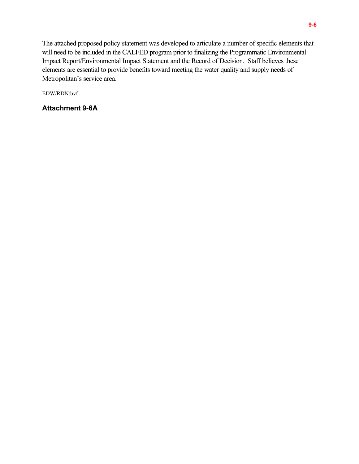The attached proposed policy statement was developed to articulate a number of specific elements that will need to be included in the CALFED program prior to finalizing the Programmatic Environmental Impact Report/Environmental Impact Statement and the Record of Decision. Staff believes these elements are essential to provide benefits toward meeting the water quality and supply needs of Metropolitan's service area.

EDW/RDN:bvf

**Attachment 9-6A**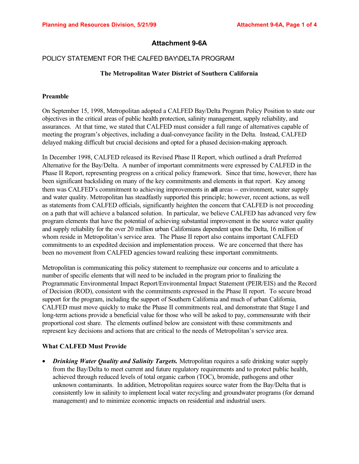## **Attachment 9-6A**

### POLICY STATEMENT FOR THE CALFED BAY\DELTA PROGRAM

#### **The Metropolitan Water District of Southern California**

#### **Preamble**

On September 15, 1998, Metropolitan adopted a CALFED Bay/Delta Program Policy Position to state our objectives in the critical areas of public health protection, salinity management, supply reliability, and assurances. At that time, we stated that CALFED must consider a full range of alternatives capable of meeting the program's objectives, including a dual-conveyance facility in the Delta. Instead, CALFED delayed making difficult but crucial decisions and opted for a phased decision-making approach.

In December 1998, CALFED released its Revised Phase II Report, which outlined a draft Preferred Alternative for the Bay/Delta. A number of important commitments were expressed by CALFED in the Phase II Report, representing progress on a critical policy framework. Since that time, however, there has been significant backsliding on many of the key commitments and elements in that report. Key among them was CALFED's commitment to achieving improvements in **all** areas -- environment, water supply and water quality. Metropolitan has steadfastly supported this principle; however, recent actions, as well as statements from CALFED officials, significantly heighten the concern that CALFED is not proceeding on a path that will achieve a balanced solution. In particular, we believe CALFED has advanced very few program elements that have the potential of achieving substantial improvement in the source water quality and supply reliability for the over 20 million urban Californians dependent upon the Delta, 16 million of whom reside in Metropolitan's service area. The Phase II report also contains important CALFED commitments to an expedited decision and implementation process. We are concerned that there has been no movement from CALFED agencies toward realizing these important commitments.

Metropolitan is communicating this policy statement to reemphasize our concerns and to articulate a number of specific elements that will need to be included in the program prior to finalizing the Programmatic Environmental Impact Report/Environmental Impact Statement (PEIR/EIS) and the Record of Decision (ROD), consistent with the commitments expressed in the Phase II report. To secure broad support for the program, including the support of Southern California and much of urban California, CALFED must move quickly to make the Phase II commitments real, and demonstrate that Stage I and long-term actions provide a beneficial value for those who will be asked to pay, commensurate with their proportional cost share. The elements outlined below are consistent with these commitments and represent key decisions and actions that are critical to the needs of Metropolitan's service area.

#### **What CALFED Must Provide**

• *Drinking Water Quality and Salinity Targets.* Metropolitan requires a safe drinking water supply from the Bay/Delta to meet current and future regulatory requirements and to protect public health, achieved through reduced levels of total organic carbon (TOC), bromide, pathogens and other unknown contaminants. In addition, Metropolitan requires source water from the Bay/Delta that is consistently low in salinity to implement local water recycling and groundwater programs (for demand management) and to minimize economic impacts on residential and industrial users.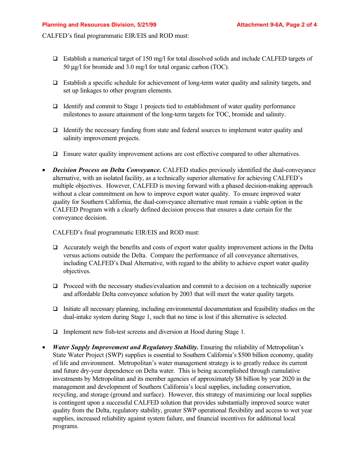CALFED's final programmatic EIR/EIS and ROD must:

- $\Box$  Establish a numerical target of 150 mg/l for total dissolved solids and include CALFED targets of 50 µg/l for bromide and 3.0 mg/l for total organic carbon (TOC).
- $\Box$  Establish a specific schedule for achievement of long-term water quality and salinity targets, and set up linkages to other program elements.
- $\Box$  Identify and commit to Stage 1 projects tied to establishment of water quality performance milestones to assure attainment of the long-term targets for TOC, bromide and salinity.
- $\Box$  Identify the necessary funding from state and federal sources to implement water quality and salinity improvement projects.
- □ Ensure water quality improvement actions are cost effective compared to other alternatives.
- *Decision Process on Delta Conveyance*. CALFED studies previously identified the dual-conveyance alternative, with an isolated facility, as a technically superior alternative for achieving CALFED's multiple objectives. However, CALFED is moving forward with a phased decision-making approach without a clear commitment on how to improve export water quality. To ensure improved water quality for Southern California, the dual-conveyance alternative must remain a viable option in the CALFED Program with a clearly defined decision process that ensures a date certain for the conveyance decision.

CALFED's final programmatic EIR/EIS and ROD must:

- $\Box$  Accurately weigh the benefits and costs of export water quality improvement actions in the Delta versus actions outside the Delta. Compare the performance of all conveyance alternatives, including CALFED's Dual Alternative, with regard to the ability to achieve export water quality objectives.
- $\Box$  Proceed with the necessary studies/evaluation and commit to a decision on a technically superior and affordable Delta conveyance solution by 2003 that will meet the water quality targets.
- $\Box$  Initiate all necessary planning, including environmental documentation and feasibility studies on the dual-intake system during Stage 1, such that no time is lost if this alternative is selected.
- □ Implement new fish-test screens and diversion at Hood during Stage 1.
- *Water Supply Improvement and Regulatory Stability.* Ensuring the reliability of Metropolitan's State Water Project (SWP) supplies is essential to Southern California's \$500 billion economy, quality of life and environment. Metropolitan's water management strategy is to greatly reduce its current and future dry-year dependence on Delta water. This is being accomplished through cumulative investments by Metropolitan and its member agencies of approximately \$8 billion by year 2020 in the management and development of Southern California's local supplies, including conservation, recycling, and storage (ground and surface). However, this strategy of maximizing our local supplies is contingent upon a successful CALFED solution that provides substantially improved source water quality from the Delta, regulatory stability, greater SWP operational flexibility and access to wet year supplies, increased reliability against system failure, and financial incentives for additional local programs.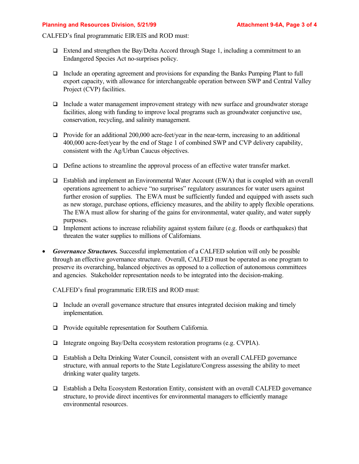#### **Planning and Resources Division, 5/21/99 Metally Resource 20 Attachment 9-6A, Page 3 of 4**

CALFED's final programmatic EIR/EIS and ROD must:

- $\Box$  Extend and strengthen the Bay/Delta Accord through Stage 1, including a commitment to an Endangered Species Act no-surprises policy.
- □ Include an operating agreement and provisions for expanding the Banks Pumping Plant to full export capacity, with allowance for interchangeable operation between SWP and Central Valley Project (CVP) facilities.
- $\Box$  Include a water management improvement strategy with new surface and groundwater storage facilities, along with funding to improve local programs such as groundwater conjunctive use, conservation, recycling, and salinity management.
- $\Box$  Provide for an additional 200,000 acre-feet/year in the near-term, increasing to an additional 400,000 acre-feet/year by the end of Stage 1 of combined SWP and CVP delivery capability, consistent with the Ag/Urban Caucus objectives.
- $\Box$  Define actions to streamline the approval process of an effective water transfer market.
- $\Box$  Establish and implement an Environmental Water Account (EWA) that is coupled with an overall operations agreement to achieve "no surprises" regulatory assurances for water users against further erosion of supplies. The EWA must be sufficiently funded and equipped with assets such as new storage, purchase options, efficiency measures, and the ability to apply flexible operations. The EWA must allow for sharing of the gains for environmental, water quality, and water supply purposes.
- $\Box$  Implement actions to increase reliability against system failure (e.g. floods or earthquakes) that threaten the water supplies to millions of Californians.
- *Governance Structures.* Successful implementation of a CALFED solution will only be possible through an effective governance structure. Overall, CALFED must be operated as one program to preserve its overarching, balanced objectives as opposed to a collection of autonomous committees and agencies. Stakeholder representation needs to be integrated into the decision-making.

CALFED's final programmatic EIR/EIS and ROD must:

- $\Box$  Include an overall governance structure that ensures integrated decision making and timely implementation.
- ! Provide equitable representation for Southern California.
- $\Box$  Integrate ongoing Bay/Delta ecosystem restoration programs (e.g. CVPIA).
- ! Establish a Delta Drinking Water Council, consistent with an overall CALFED governance structure, with annual reports to the State Legislature/Congress assessing the ability to meet drinking water quality targets.
- ! Establish a Delta Ecosystem Restoration Entity, consistent with an overall CALFED governance structure, to provide direct incentives for environmental managers to efficiently manage environmental resources.